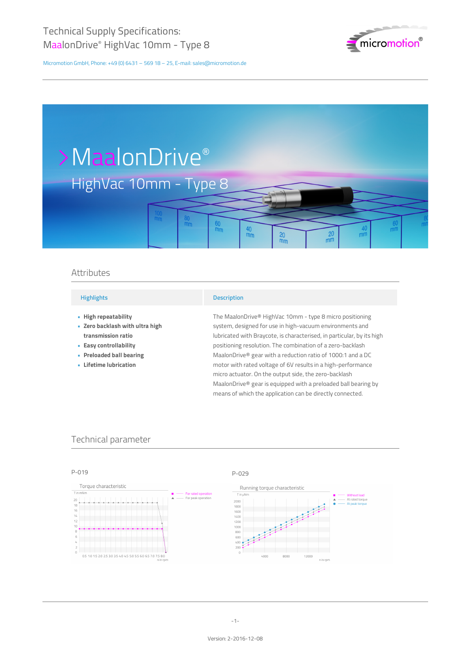

# >MaalonDrive® HighVac 10mm - Type 8  $\frac{40}{mm}$  $m<sub>m</sub>$  $\frac{20}{\text{mm}}$  $\frac{20}{mm}$  $<sub>mn</sub>$ </sub>

## Attributes

#### **Highlights**

- **High repeatability •**
- **Zero backlash with ultra high • transmission ratio**
- **Easy controllability •**
- **Preloaded ball bearing •**
- **Lifetime lubrication •**

## **Description**

The MaalonDrive® HighVac 10mm - type 8 micro positioning system, designed for use in high-vacuum environments and lubricated with Braycote, is characterised, in particular, by its high positioning resolution. The combination of a zero-backlash MaalonDrive® gear with a reduction ratio of 1000:1 and a DC motor with rated voltage of 6V results in a high-performance micro actuator. On the output side, the zero-backlash MaalonDrive® gear is equipped with a preloaded ball bearing by means of which the application can be directly connected.

## Technical parameter

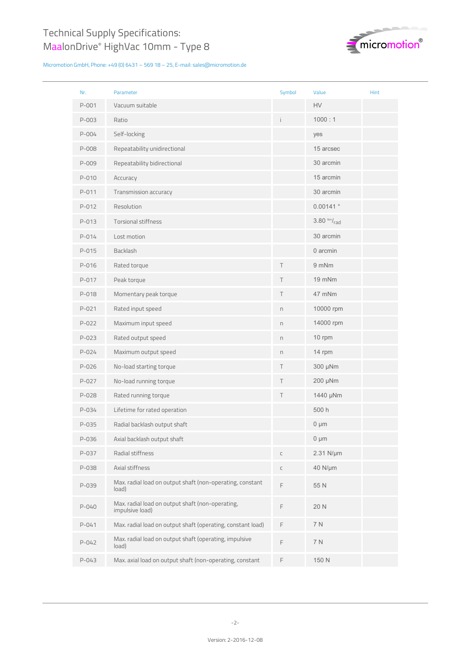

| Nr.       | Parameter                                                           | Symbol                                   | Value               | Hint |
|-----------|---------------------------------------------------------------------|------------------------------------------|---------------------|------|
| $P - 001$ | Vacuum suitable                                                     |                                          | HV                  |      |
| P-003     | Ratio                                                               | i.                                       | 1000:1              |      |
| $P - 004$ | Self-locking                                                        |                                          | yes                 |      |
| P-008     | Repeatability unidirectional                                        |                                          | 15 arcsec           |      |
| P-009     | Repeatability bidirectional                                         |                                          | 30 arcmin           |      |
| P-010     | Accuracy                                                            |                                          | 15 arcmin           |      |
| P-011     | Transmission accuracy                                               |                                          | 30 arcmin           |      |
| P-012     | Resolution                                                          |                                          | 0.00141°            |      |
| P-013     | <b>Torsional stiffness</b>                                          |                                          | $3.80$ Nm/ $_{rad}$ |      |
| $P - 014$ | Lost motion                                                         |                                          | 30 arcmin           |      |
| P-015     | Backlash                                                            |                                          | 0 arcmin            |      |
| $P - 016$ | Rated torque                                                        | Τ                                        | 9 mNm               |      |
| P-017     | Peak torque                                                         | Τ                                        | 19 mNm              |      |
| P-018     | Momentary peak torque                                               | Τ                                        | 47 mNm              |      |
| $P - 021$ | Rated input speed                                                   | n                                        | 10000 rpm           |      |
| P-022     | Maximum input speed                                                 | n                                        | 14000 rpm           |      |
| P-023     | Rated output speed                                                  | n                                        | 10 rpm              |      |
| P-024     | Maximum output speed                                                | n                                        | 14 rpm              |      |
| P-026     | No-load starting torque                                             | Τ                                        | 300 µNm             |      |
| P-027     | No-load running torque                                              | Τ                                        | 200 µNm             |      |
| P-028     | Rated running torque                                                | Τ                                        | 1440 µNm            |      |
| P-034     | Lifetime for rated operation                                        |                                          | 500 h               |      |
| P-035     | Radial backlash output shaft                                        |                                          | $0 \mu m$           |      |
| P-036     | Axial backlash output shaft                                         |                                          | $0 \mu m$           |      |
| P-037     | Radial stiffness                                                    | С                                        | 2.31 N/µm           |      |
| P-038     | Axial stiffness                                                     | С                                        | 40 N/µm             |      |
| P-039     | Max. radial load on output shaft (non-operating, constant<br>load)  | F                                        | 55 N                |      |
| P-040     | Max. radial load on output shaft (non-operating,<br>impulsive load) | F                                        | 20 N                |      |
| $P - 041$ | Max. radial load on output shaft (operating, constant load)         | F                                        | 7 N                 |      |
| P-042     | Max. radial load on output shaft (operating, impulsive<br>load)     | $\mathrel{\mathop{\mathsf{F}}\nolimits}$ | 7 N                 |      |
| P-043     | Max. axial load on output shaft (non-operating, constant            | F                                        | 150 N               |      |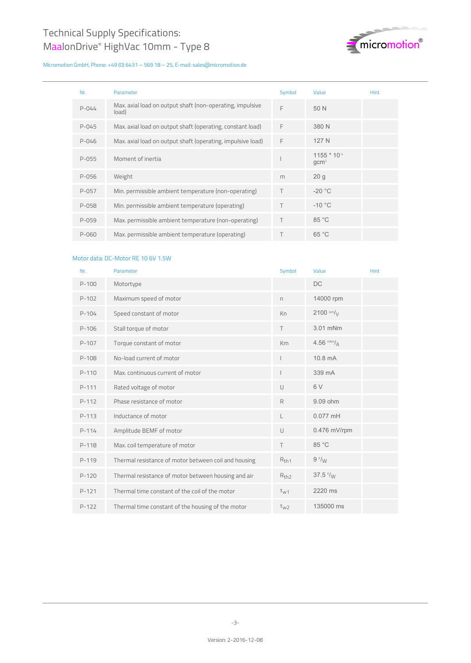

| Nr.       | <b>Parameter</b>                                                   | Symbol | Value                                | <b>Hint</b> |
|-----------|--------------------------------------------------------------------|--------|--------------------------------------|-------------|
| $P - 044$ | Max. axial load on output shaft (non-operating, impulsive<br>load) | F      | 50 N                                 |             |
| $P - 045$ | Max. axial load on output shaft (operating, constant load)         | F      | 380 N                                |             |
| P-046     | Max. axial load on output shaft (operating, impulsive load)        | F      | 127 N                                |             |
| P-055     | Moment of inertia                                                  |        | $1155 * 10^{-4}$<br>gcm <sup>2</sup> |             |
| P-056     | Weight                                                             | m      | 20q                                  |             |
| P-057     | Min. permissible ambient temperature (non-operating)               | Τ      | $-20 °C$                             |             |
| P-058     | Min. permissible ambient temperature (operating)                   | T.     | $-10 °C$                             |             |
| $P - 059$ | Max. permissible ambient temperature (non-operating)               | T      | 85 °C                                |             |
| P-060     | Max. permissible ambient temperature (operating)                   |        | 65 °C                                |             |

## Motor data: DC-Motor RE 10 6V 1.5W

| Nr.       | Parameter                                            | Symbol           | Value                      | Hint |
|-----------|------------------------------------------------------|------------------|----------------------------|------|
| $P - 100$ | Motortype                                            |                  | <b>DC</b>                  |      |
| $P-102$   | Maximum speed of motor                               | n.               | 14000 rpm                  |      |
| $P-104$   | Speed constant of motor                              | Kn               | $2100$ rpm/ $\frac{1}{10}$ |      |
| $P-106$   | Stall torque of motor                                | T.               | 3.01 mNm                   |      |
| $P-107$   | Torque constant of motor                             | Km               | 4.56 $m/m / A$             |      |
| $P-108$   | No-load current of motor                             |                  | 10.8 mA                    |      |
| $P-110$   | Max, continuous current of motor                     |                  | 339 mA                     |      |
| $P-111$   | Rated voltage of motor                               | $\cup$           | 6V                         |      |
| $P-112$   | Phase resistance of motor                            | R                | 9.09 ohm                   |      |
| $P-113$   | Inductance of motor                                  | L                | $0.077$ mH                 |      |
| $P-114$   | Amplitude BEMF of motor                              | $\cup$           | $0.476$ mV/rpm             |      |
| $P-118$   | Max. coil temperature of motor                       | T                | 85 °C                      |      |
| $P-119$   | Thermal resistance of motor between coil and housing | $R_{th1}$        | $9 \frac{\kappa}{M}$       |      |
| $P - 120$ | Thermal resistance of motor between housing and air  | R <sub>th2</sub> | 37.5 $\frac{k}{W}$         |      |
| $P-121$   | Thermal time constant of the coil of the motor       | T <sub>W1</sub>  | 2220 ms                    |      |
| $P-122$   | Thermal time constant of the housing of the motor    | T <sub>W2</sub>  | 135000 ms                  |      |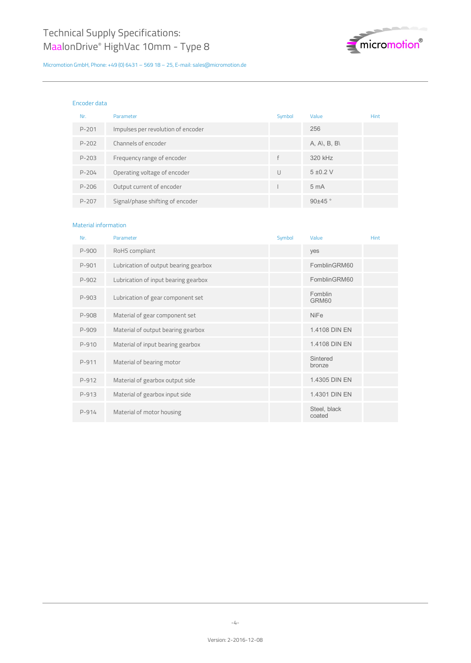

#### Encoder data

| Nr.       | Parameter                          | Symbol | Value           | <b>Hint</b> |
|-----------|------------------------------------|--------|-----------------|-------------|
| $P - 201$ | Impulses per revolution of encoder |        | 256             |             |
| $P - 202$ | Channels of encoder                |        | A, A\, B, B\    |             |
| $P - 203$ | Frequency range of encoder         | f      | 320 kHz         |             |
| $P - 204$ | Operating voltage of encoder       | $\cup$ | $5 \pm 0.2$ V   |             |
| P-206     | Output current of encoder          |        | 5 <sub>mA</sub> |             |
| $P - 207$ | Signal/phase shifting of encoder   |        | $90\pm45$       |             |

## Material information

| Nr.     | Parameter                             | Symbol | Value                  | Hint |
|---------|---------------------------------------|--------|------------------------|------|
| $P-900$ | RoHS compliant                        |        | yes                    |      |
| $P-901$ | Lubrication of output bearing gearbox |        | FomblinGRM60           |      |
| P-902   | Lubrication of input bearing gearbox  |        | FomblinGRM60           |      |
| $P-903$ | Lubrication of gear component set     |        | Fomblin<br>GRM60       |      |
| P-908   | Material of gear component set        |        | <b>NiFe</b>            |      |
| P-909   | Material of output bearing gearbox    |        | 1.4108 DIN EN          |      |
| P-910   | Material of input bearing gearbox     |        | 1.4108 DIN EN          |      |
| P-911   | Material of bearing motor             |        | Sintered<br>bronze     |      |
| P-912   | Material of gearbox output side       |        | 1.4305 DIN EN          |      |
| $P-913$ | Material of gearbox input side        |        | 1.4301 DIN EN          |      |
| $P-914$ | Material of motor housing             |        | Steel, black<br>coated |      |